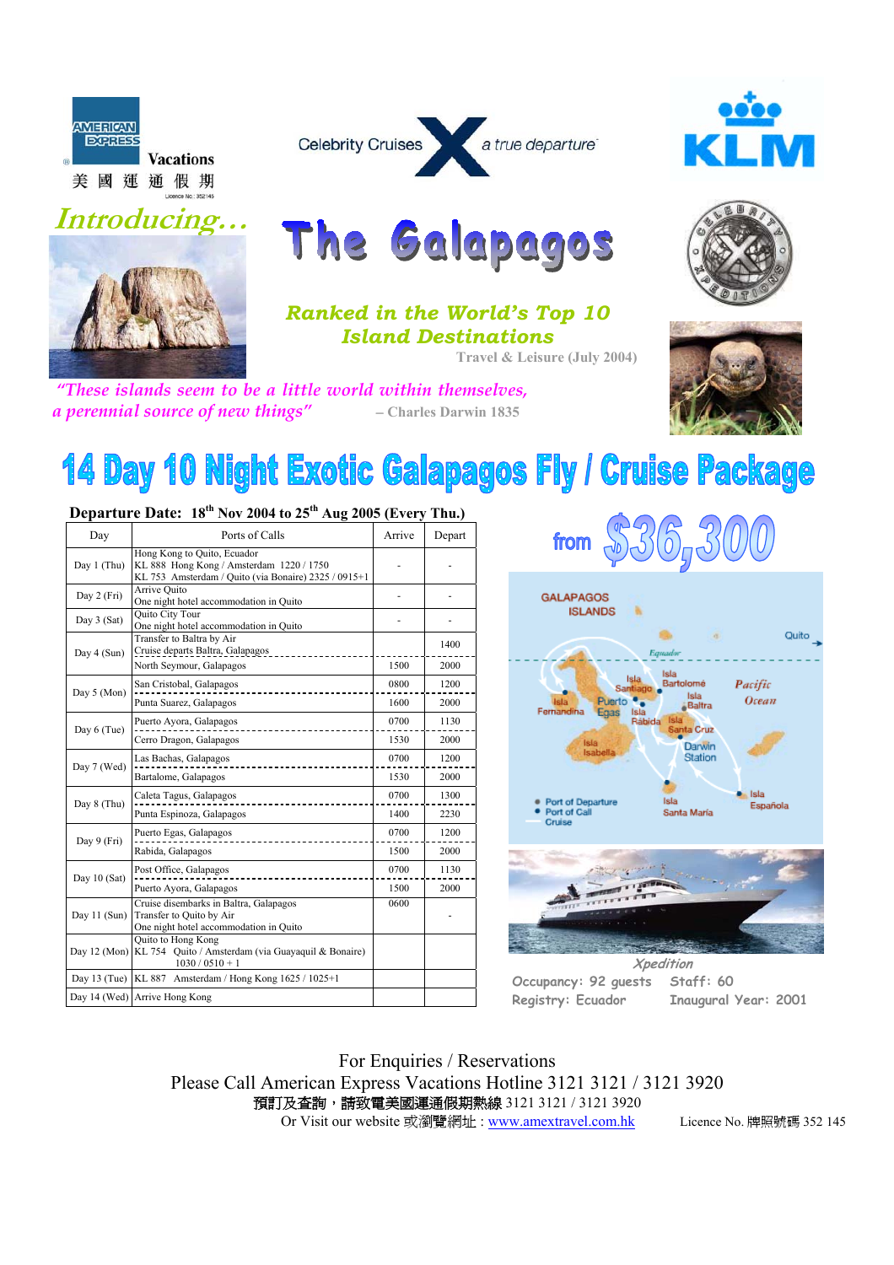







The Galapagos





*Ranked in the World's Top 10 Island Destinations* 

**Travel & Leisure (July 2004)**

*"These islands seem to be a little world within themselves, a perennial source of new things"* − **Charles Darwin 1835** 



# **14 Day 10 Night Exotic Galapagos Fly / Cruise Package**

| Dvpartare Dater<br>- 10<br>$1101$ 200 1 to 20<br>$1.06$ FOOD (EVEL)<br>. |                                                                                                                                 |        |        |  |  |  |
|--------------------------------------------------------------------------|---------------------------------------------------------------------------------------------------------------------------------|--------|--------|--|--|--|
| Day                                                                      | Ports of Calls                                                                                                                  | Arrive | Depart |  |  |  |
| Day 1 (Thu)                                                              | Hong Kong to Quito, Ecuador<br>KL 888 Hong Kong / Amsterdam 1220 / 1750<br>KL 753 Amsterdam / Quito (via Bonaire) 2325 / 0915+1 |        |        |  |  |  |
| Day 2 (Fri)                                                              | Arrive Quito<br>One night hotel accommodation in Quito                                                                          |        |        |  |  |  |
| Day $3$ (Sat)                                                            | <b>Ouito City Tour</b><br>One night hotel accommodation in Quito                                                                |        |        |  |  |  |
| Day 4 (Sun)                                                              | Transfer to Baltra by Air<br>Cruise departs Baltra, Galapagos                                                                   |        | 1400   |  |  |  |
|                                                                          | North Seymour, Galapagos                                                                                                        | 1500   | 2000   |  |  |  |
| Day 5 (Mon)                                                              | San Cristobal, Galapagos                                                                                                        | 0800   | 1200   |  |  |  |
|                                                                          | Punta Suarez, Galapagos                                                                                                         | 1600   | 2000   |  |  |  |
| Day 6 (Tue)                                                              | Puerto Ayora, Galapagos                                                                                                         | 0700   | 1130   |  |  |  |
|                                                                          | Cerro Dragon, Galapagos                                                                                                         | 1530   | 2000   |  |  |  |
| Day 7 (Wed)                                                              | Las Bachas, Galapagos                                                                                                           | 0700   | 1200   |  |  |  |
|                                                                          | Bartalome, Galapagos                                                                                                            | 1530   | 2000   |  |  |  |
| Day 8 (Thu)                                                              | Caleta Tagus, Galapagos                                                                                                         | 0700   | 1300   |  |  |  |
|                                                                          | Punta Espinoza, Galapagos                                                                                                       | 1400   | 2230   |  |  |  |
| Day 9 (Fri)                                                              | Puerto Egas, Galapagos                                                                                                          | 0700   | 1200   |  |  |  |
|                                                                          | Rabida, Galapagos                                                                                                               | 1500   | 2000   |  |  |  |
| Day 10 (Sat)                                                             | Post Office, Galapagos                                                                                                          | 0700   | 1130   |  |  |  |
|                                                                          | Puerto Ayora, Galapagos                                                                                                         | 1500   | 2000   |  |  |  |
| Day 11 (Sun)                                                             | Cruise disembarks in Baltra, Galapagos<br>Transfer to Quito by Air<br>One night hotel accommodation in Quito                    | 0600   |        |  |  |  |
| Day $12 \text{ (Mon)}$                                                   | Quito to Hong Kong<br>KL 754 Quito / Amsterdam (via Guayaquil & Bonaire)<br>$1030/0510+1$                                       |        |        |  |  |  |
| Day 13 (Tue)                                                             | KL 887 Amsterdam / Hong Kong 1625 / 1025+1                                                                                      |        |        |  |  |  |
|                                                                          | Day 14 (Wed) Arrive Hong Kong                                                                                                   |        |        |  |  |  |
|                                                                          |                                                                                                                                 |        |        |  |  |  |

## **Departure Date: 18th Nov 2004 to 25th Aug 2005 (Every Thu.)**



For Enquiries / Reservations Please Call American Express Vacations Hotline 3121 3121 / 3121 3920 預訂及查詢,請致電美國運通假期熱線 3121 3121 / 3121 3920 Or Visit our website 或瀏覽網址: www.amextravel.com.hk Licence No. 牌照號碼 352 145